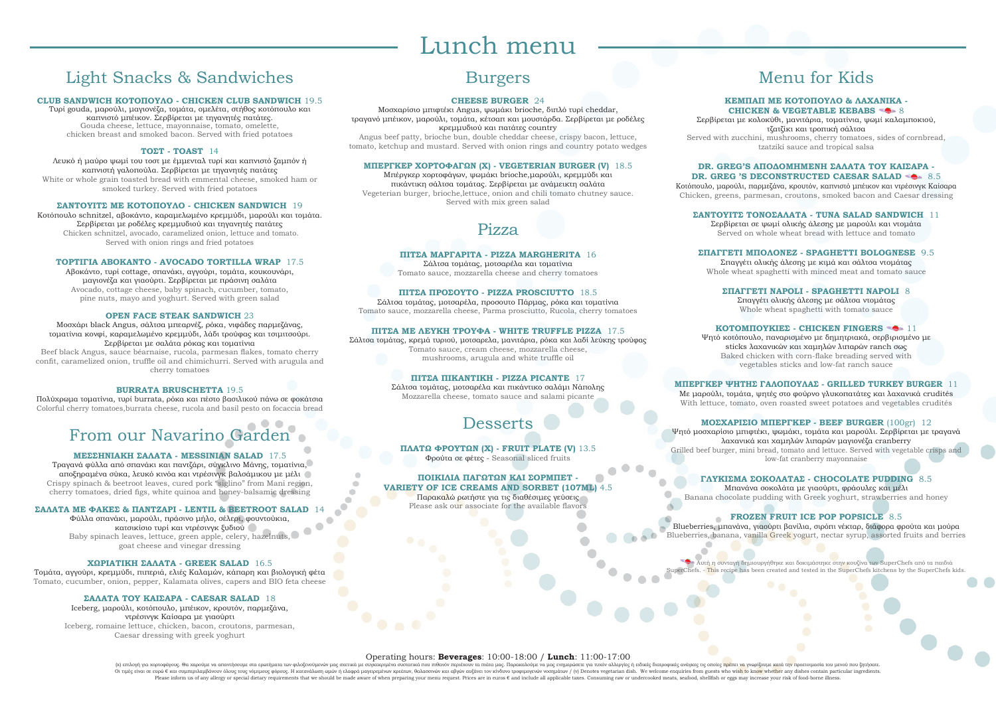# Light Snacks & Sandwiches

#### **CLUB SANDWICH ΚΟΤΟΠΟΥΛΟ - CHICKEN CLUB SANDWICH** 19.5

Τυρί gouda, μαρούλι, μαγιονέζα, τομάτα, ομελέτα, στήθος κοτόπουλο και καπνιστό μπέικον. Σερβίρεται με τηγανητές πατάτες. Gouda cheese, lettuce, mayonnaise, tomato, omelette, chicken breast and smoked bacon. Served with fried potatoes

#### **ΤΟΣΤ - TOAST** 14

Λευκό ή μαύρο ψωμί του τοστ με έμμενταλ τυρί και καπνιστό ζαμπόν ή καπνιστή γαλοπούλα. Σερβίρεται με τηγανητές πατάτες White or whole grain toasted bread with emmental cheese, smoked ham or smoked turkey. Served with fried potatoes

#### **Σάντουιτς με κοτόπουλο - CHICKEN SANDWICH** 19

Κοτόπουλο schnitzel, αβοκάντο, καραμελωμένο κρεμμύδι, μαρούλι και τομάτα. Σερβίρεται με ροδέλες κρεμμυδιού και τηγανητές πατάτες Chicken schnitzel, avocado, caramelized onion, lettuce and tomato. Served with onion rings and fried potatoes

#### **ΤΟΡΤΙΓΙΑ ΑΒΟΚΑΝΤΟ - AVOCADO TORTILLA WRAP** 17.5

Αβοκάντο, τυρί cottage, σπανάκι, αγγούρι, τομάτα, κουκουνάρι, μαγιονέζα και γιαούρτι. Σερβίρεται με πράσινη σαλάτα Avocado, cottage cheese, baby spinach, cucumber, tomato, pine nuts, mayo and yoghurt. Served with green salad

#### **Open face steak sandwich** 23

Μοσχάρι black Angus, σάλτσα μπεαρνέζ, ρόκα, νιφάδες παρμεζάνας, τοματίνια κονφί, καραμελωμένο κρεμμύδι, λάδι τρούφας και τσιμιτσούρι. Σερβίρεται με σαλάτα ρόκας και τοματίνια

Beef black Αngus, sauce béarnaise, rucola, parmesan flakes, tomato cherry confit, caramelized onion, truffle oil and chimichurri. Served with arugula and cherry tomatoes

#### **Burrata bruschetta** 19.5

Πολύχρωμα τοματίνια, τυρί burrata, ρόκα και πέστο βασιλικού πάνω σε φοκάτσια Colorful cherry tomatoes,burrata cheese, rucola and basil pesto on focaccia bread

# From our Navarino Garden

#### **ΜΕΣΣΗΝΙΑΚΗ ΣΑΛΑΤΑ - MESSINIAN SALAD** 17.5

Τραγανά φύλλα από σπανάκι και παντζάρι, σύγκλινο Μάνης, τοματίνια, αποξηραμένα σύκα, λευκό κινόα και ντρέσινγκ βαλσάμικου με μέλι Crispy spinach & beetroot leaves, cured pork "siglino" from Mani region, cherry tomatoes, dried figs, white quinoa and honey-balsamic dressing

#### **ΣΑΛΑΤΑ ΜΕ ΦΑΚΕΣ & ΠΑΝΤΖΑΡΙ - LENTIL & BEETROOT SALAD** 14

Φύλλα σπανάκι, μαρούλι, πράσινο μήλο, σέλερι, φουντούκια, κατσικίσιο τυρί και ντρέσινγκ ξυδιού Baby spinach leaves, lettuce, green apple, celery, hazelnuts, goat cheese and vinegar dressing

#### **ΧΩΡΙΑΤΙΚΗ ΣΑΛΑΤΑ - GREEK SALAD** 16.5

**DR. GREG 'S DECONSTRUCTED CAESAR SALAD**  $\leq$  **8.5** Κοτόπουλο, μαρούλι, παρμεζάνα, κρουτόν, καπνιστό μπέικον και ντρέσινγκ Καίσαρα Chicken, greens, parmesan, croutons, smoked bacon and Caesar dressing

Τομάτα, αγγούρι, κρεμμύδι, πιπεριά, ελιές Καλαμών, κάπαρη και βιολογική φέτα Tomato, cucumber, onion, pepper, Kalamata olives, capers and BIO feta cheese

#### **ΣΑΛΑΤΑ ΤΟΥ ΚΑΙΣΑΡΑ - CAESAR SALAD** 18

Iceberg, μαρούλι, κοτόπουλο, μπέικον, κρουτόν, παρμεζάνα, ντρέσινγκ Καίσαρα με γιαούρτι Iceberg, romaine lettuce, chicken, bacon, croutons, parmesan, Caesar dressing with greek yoghurt

# Burgers

#### **CHEESE BURGER** 24

Μοσχαρίσιο μπιφτέκι Angus, ψωμάκι brioche, διπλό τυρί cheddar, τραγανό μπέικον, μαρούλι, τομάτα, κέτσαπ και μουστάρδα. Σερβίρεται με ροδέλες κρεμμυδιού και πατάτες country

Angus beef patty, brioche bun, double cheddar cheese, crispy bacon, lettuce, tomato, ketchup and mustard. Served with onion rings and country potato wedges

#### **Μπέργκερ χορτοφάγων (Χ) - VEGETERIAN burger (V)** 18.5

 Αυτή η συνταγή δημιουργήθηκε και δοκιμάστηκε στην κουζίνα των SuperChefs από τα παιδιά SuperChefs. - This recipe has been created and tested in the SuperChefs kitchens by the SuperChefs kids.

Μπέργκερ χορτοφάγων, ψωμάκι brioche,μαρούλι, κρεμμύδι και πικάντικη σάλτσα τομάτας. Σερβίρεται με ανάμεικτη σαλάτα Vegeterian burger, brioche,lettuce, onion and chili tomato chutney sauce. Served with mix green salad

Pizza

#### **ΠΙΤΣΑ ΜΑΡΓΑΡΙΤΑ - PIZZA MARGHERITA** 16

Σάλτσα τομάτας, μοτσαρέλα και τοματίνια Tomato sauce, mozzarella cheese and cherry tomatoes

#### **ΠΙΤΣΑ ΠΡΟΣΟΥΤΟ - PIZZA PROSCIUTTO** 18.5

Σάλτσα τομάτας, μοτσαρέλα, προσουτο Πάρμας, ρόκα και τοματίνια Tomato sauce, mozzarella cheese, Parma prosciutto, Rucola, cherry tomatoes

#### **ΠΙΤΣΑ ΜΕ ΛΕΥΚΗ ΤΡΟΥΦΑ - WHITE TRUFFLE PIZZA** 17.5

Σάλτσα τομάτας, κρεμά τυριού, μοτσαρελα, μανιτάρια, ρόκα και λαδί λεύκης τρούφας Tomato sauce, cream cheese, mozzarella cheese, mushrooms, arugula and white truffle oil

#### **ΠΙΤΣΑ ΠΙΚΑΝΤΙΚΗ - PIZZA PICANTE** 17

Σάλτσα τομάτας, μοτσαρέλα και πικάντικο σαλάμι Νάπολης Mozzarella cheese, tomato sauce and salami picante

# Desserts

**Πλατώ φρούτων (Χ) - FRUIT PLATE (V)** 13.5 Φρούτα σε φέτες - Seasonal sliced fruits

#### **ΠΟΙΚΙΛΙΑ ΠΑΓΩΤΩΝ ΚΑΙ ΣΟΡΜΠΕΤ - VARIETY OF ICE CREAMS AND SORBET (107ml)** 4.5

Παρακαλώ ρωτήστε για τις διαθέσιμες γεύσεις Please ask our associate for the available flavors

# Menu for Kids

#### ΚΕΜΠΑΠ ΜΕ ΚΟΤΟΠΟΥΛΟ & ΛΑΧΑΝΙΚΑ -**CHICKEN & VEGETABLE KEBABS**

Σερβίρεται με κολοκύθι, μανιτάρια, τοματίνια, ψωμί καλαμποκιού, τζατζίκι και τροπική σάλτσα Served with zucchini, mushrooms, cherry tomatoes, sides of cornbread,

tzatziki sauce and tropical salsa

## **DR. GREG'S αποδομημένη σαλάτα του καίσαρα -**

#### **Σάντουιτς τονοσαλάτα - TUNA SALAD SANDWICH** 11

Σερβίρεται σε ψωμί ολικής άλεσης με μαρούλι και ντομάτα Served on whole wheat bread with lettuce and tomato

#### **Σπαγγέτι μπολονέζ - SPAGHETTI BOLOGNESE** 9.5

Σπαγγέτι ολικής άλεσης με κιμά και σάλτσα ντομάτας Whole wheat spaghetti with minced meat and tomato sauce

#### **Σπαγγέτι Napoli - Spaghetti Napoli** 8

Σπαγγέτι ολικής άλεσης με σάλτσα ντομάτας Whole wheat spaghetti with tomato sauce

#### **ΚΟΤΟΜΠΟΥΚΙΕΣ - CHICKEN FINGERS**  $\leq 11$

Ψητό κοτόπουλο, παναρισμένο με δημητριακά, σερβιρισμένο με sticks λαχανικών και χαμηλών λιπαρών ranch σως Baked chicken with corn-flake breading served with vegetables sticks and low-fat ranch sauce

#### **Μπέργκερ ψητής γαλοπούλας - GRILLED TURKEY BURGER** 11

Με μαρούλι, τομάτα, ψητές στο φούρνο γλυκοπατάτες και λαχανικά crudités With lettuce, tomato, oven roasted sweet potatoes and vegetables crudités

### **μοσχαρίσιο μπέργκερ - beef burger** (100gr)12

Ψητό μοσχαρίσιο μπιφτέκι, ψωμάκι, τομάτα και μαρούλι. Σερβίρεται με τραγανά λαχανικά και χαμηλών λιπαρών μαγιονέζα cranberry Grilled beef burger, mini bread, tomato and lettuce. Served with vegetable crisps and low-fat cranberry mayonnaise

#### **Γλύκισμα σοκολάτας - CHOCOLATE PUDDING** 8.5

Μπανάνα σοκολάτα με γιαούρτι, φράουλες και μέλι Banana chocolate pudding with Greek yoghurt, strawberries and honey

**Frozen fruit ice pop popsicle** 8.5 Blueberries, μπανάνα, γιαούρτι βανίλια, σιρόπι νέκταρ, διάφορα φρούτα και μούρα Blueberries, banana, vanilla Greek yogurt, nectar syrup, assorted fruits and berries

#### Operating hours: **Beverages**: 10:00-18:00 / **Lunch**: 11:00-17:00

(x) επιλογή για χορτοφάγους. Θα χαρούμε να απαντήσουμε στα ερωτήματα των φιλοξενούμενώ μας σχεικά με συγκεκριμένα συστατικά που πιθανόν περιέχουν τα πιάτα μας. Παρακαλούμε να μας ενημερώσετε για τυχόν αλλεργίες ή ειδικές Oι τιμές είναι σε ευρώ € και συμπεριλαμβάνουν όλους τους νόμιμους φόρους. Η κατανάλωση ωμών ή ελαφρά μαγειρεμένων κρεάτων, θαλασσινών και αβγών αυξάνει τον κίνδυνο τροφιμογενών νοσημάτων / (v) Denotes vegetarian dish. We

# Lunch menu